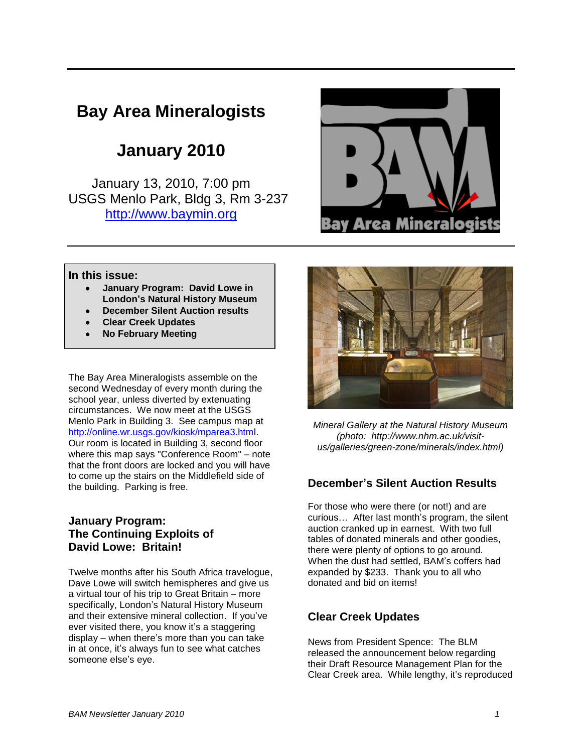# **Bay Area Mineralogists**

# **January 2010**

January 13, 2010, 7:00 pm USGS Menlo Park, Bldg 3, Rm 3-237 [http://www.baymin.org](http://www.baymin.org/)



### **In this issue:**

- **January Program: David Lowe in London's Natural History Museum**
- **December Silent Auction results**
- **Clear Creek Updates**
- **No February Meeting**

The Bay Area Mineralogists assemble on the second Wednesday of every month during the school year, unless diverted by extenuating circumstances. We now meet at the USGS Menlo Park in Building 3. See campus map at [http://online.wr.usgs.gov/kiosk/mparea3.html.](http://online.wr.usgs.gov/kiosk/mparea3.html) Our room is located in Building 3, second floor where this map says "Conference Room" – note that the front doors are locked and you will have to come up the stairs on the Middlefield side of the building. Parking is free.

## **January Program: The Continuing Exploits of David Lowe: Britain!**

Twelve months after his South Africa travelogue, Dave Lowe will switch hemispheres and give us a virtual tour of his trip to Great Britain – more specifically, London's Natural History Museum and their extensive mineral collection. If you've ever visited there, you know it's a staggering display – when there's more than you can take in at once, it's always fun to see what catches someone else's eye.



*Mineral Gallery at the Natural History Museum (photo: http://www.nhm.ac.uk/visitus/galleries/green-zone/minerals/index.html)*

# **December's Silent Auction Results**

For those who were there (or not!) and are curious… After last month's program, the silent auction cranked up in earnest. With two full tables of donated minerals and other goodies, there were plenty of options to go around. When the dust had settled, BAM's coffers had expanded by \$233. Thank you to all who donated and bid on items!

# **Clear Creek Updates**

News from President Spence: The BLM released the announcement below regarding their Draft Resource Management Plan for the Clear Creek area. While lengthy, it's reproduced